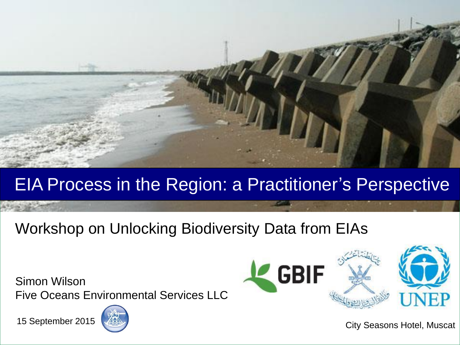

#### EIA Process in the Region: a Practitioner's Perspective

#### Workshop on Unlocking Biodiversity Data from EIAs

Simon Wilson Five Oceans Environmental Services LLC





Allen September 2015

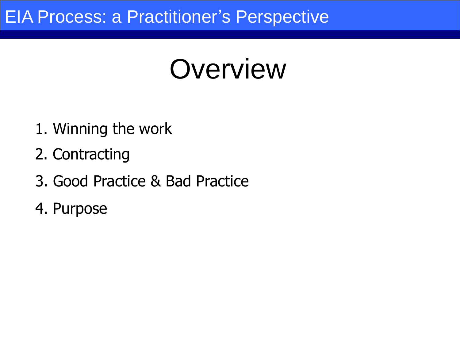### **Overview**

- 1. Winning the work
- 2. Contracting
- 3. Good Practice & Bad Practice
- 4. Purpose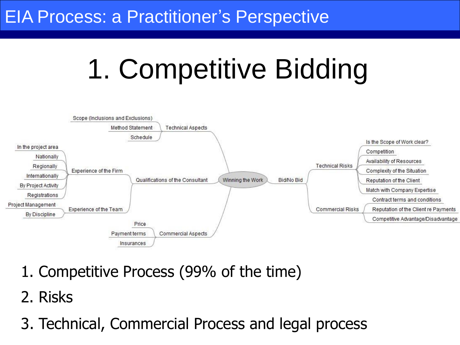## 1. Competitive Bidding



- 1. Competitive Process (99% of the time)
- 2. Risks
- 3. Technical, Commercial Process and legal process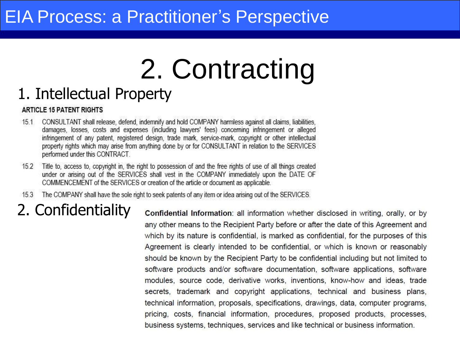# 2. Contracting

#### 1. Intellectual Property

#### **ARTICLE 15 PATENT RIGHTS**

- CONSULTANT shall release, defend, indemnify and hold COMPANY harmless against all claims, liabilities,  $15.1$ damages, losses, costs and expenses (including lawyers' fees) concerning infringement or alleged infringement of any patent, registered design, trade mark, service-mark, copyright or other intellectual property rights which may arise from anything done by or for CONSULTANT in relation to the SERVICES performed under this CONTRACT.
- Title to, access to, copyright in, the right to possession of and the free rights of use of all things created  $15.2$ under or arising out of the SERVICES shall vest in the COMPANY immediately upon the DATE OF COMMENCEMENT of the SERVICES or creation of the article or document as applicable.
- 15.3 The COMPANY shall have the sole right to seek patents of any item or idea arising out of the SERVICES.

#### 2. Confidentiality

Confidential Information: all information whether disclosed in writing, orally, or by any other means to the Recipient Party before or after the date of this Agreement and which by its nature is confidential, is marked as confidential, for the purposes of this Agreement is clearly intended to be confidential, or which is known or reasonably should be known by the Recipient Party to be confidential including but not limited to software products and/or software documentation, software applications, software modules, source code, derivative works, inventions, know-how and ideas, trade secrets, trademark and copyright applications, technical and business plans, technical information, proposals, specifications, drawings, data, computer programs, pricing, costs, financial information, procedures, proposed products, processes, business systems, techniques, services and like technical or business information.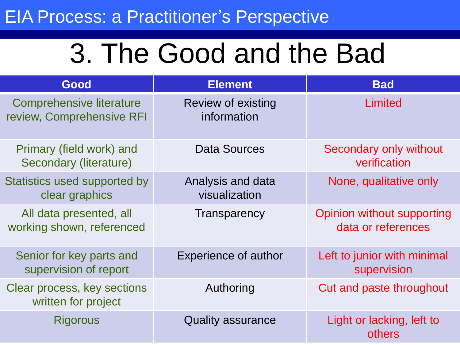## 3. The Good and the Bad

| Good                                                         | <b>Element</b>                           | <b>Bad</b>                                       |
|--------------------------------------------------------------|------------------------------------------|--------------------------------------------------|
| <b>Comprehensive literature</b><br>review, Comprehensive RFI | <b>Review of existing</b><br>information | Limited                                          |
| Primary (field work) and<br>Secondary (literature)           | <b>Data Sources</b>                      | Secondary only without<br>verification           |
| Statistics used supported by<br>clear graphics               | Analysis and data<br>visualization       | None, qualitative only                           |
| All data presented, all<br>working shown, referenced         | Transparency                             | Opinion without supporting<br>data or references |
| Senior for key parts and<br>supervision of report            | <b>Experience of author</b>              | Left to junior with minimal<br>supervision       |
| Clear process, key sections<br>written for project           | Authoring                                | Cut and paste throughout                         |
| <b>Rigorous</b>                                              | <b>Quality assurance</b>                 | Light or lacking, left to<br>others              |